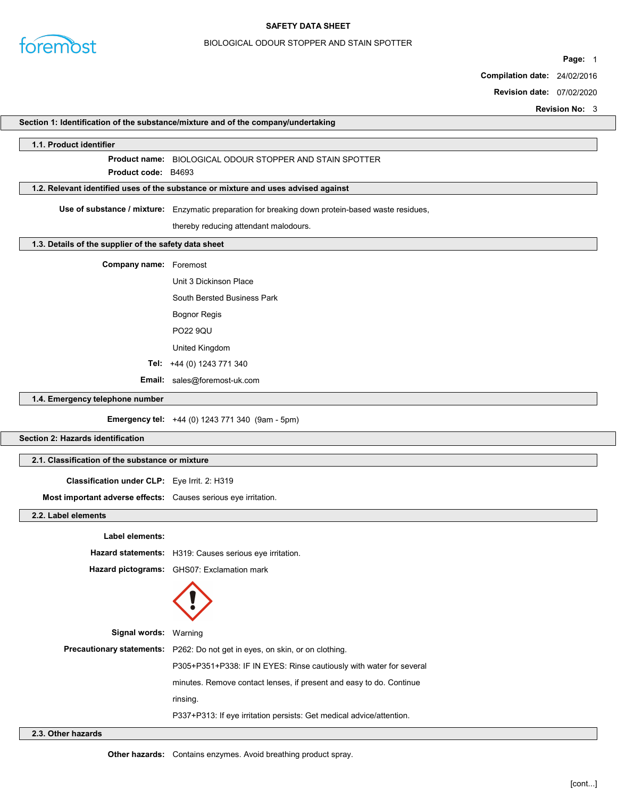

#### SAFETY DATA SHEET

### BIOLOGICAL ODOUR STOPPER AND STAIN SPOTTER

Page: 1

Compilation date: 24/02/2016

Revision date: 07/02/2020

Revision No: 3

|                                                                | Section 1: Identification of the substance/mixture and of the company/undertaking                 |
|----------------------------------------------------------------|---------------------------------------------------------------------------------------------------|
| 1.1. Product identifier                                        |                                                                                                   |
|                                                                | Product name: BIOLOGICAL ODOUR STOPPER AND STAIN SPOTTER                                          |
| Product code: B4693                                            |                                                                                                   |
|                                                                | 1.2. Relevant identified uses of the substance or mixture and uses advised against                |
|                                                                | Use of substance / mixture: Enzymatic preparation for breaking down protein-based waste residues, |
|                                                                | thereby reducing attendant malodours.                                                             |
| 1.3. Details of the supplier of the safety data sheet          |                                                                                                   |
| <b>Company name:</b> Foremost                                  |                                                                                                   |
|                                                                | Unit 3 Dickinson Place                                                                            |
|                                                                | South Bersted Business Park                                                                       |
|                                                                | <b>Bognor Regis</b>                                                                               |
|                                                                | <b>PO22 9QU</b>                                                                                   |
|                                                                | United Kingdom                                                                                    |
|                                                                | Tel: +44 (0) 1243 771 340                                                                         |
|                                                                | Email: sales@foremost-uk.com                                                                      |
| 1.4. Emergency telephone number                                |                                                                                                   |
|                                                                | Emergency tel: +44 (0) 1243 771 340 (9am - 5pm)                                                   |
| Section 2: Hazards identification                              |                                                                                                   |
|                                                                |                                                                                                   |
| 2.1. Classification of the substance or mixture                |                                                                                                   |
| Classification under CLP: Eye Irrit. 2: H319                   |                                                                                                   |
| Most important adverse effects: Causes serious eye irritation. |                                                                                                   |
| 2.2. Label elements                                            |                                                                                                   |
| Label elements:                                                |                                                                                                   |
|                                                                | Hazard statements: H319: Causes serious eye irritation.                                           |
|                                                                | Hazard pictograms: GHS07: Exclamation mark                                                        |
|                                                                |                                                                                                   |
| Signal words: Warning                                          |                                                                                                   |
|                                                                | Precautionary statements: P262: Do not get in eyes, on skin, or on clothing.                      |
|                                                                | P305+P351+P338: IF IN EYES: Rinse cautiously with water for several                               |
|                                                                | minutes. Remove contact lenses, if present and easy to do. Continue                               |
|                                                                | rinsing.                                                                                          |
|                                                                | P337+P313: If eye irritation persists: Get medical advice/attention.                              |

### 2.3. Other hazards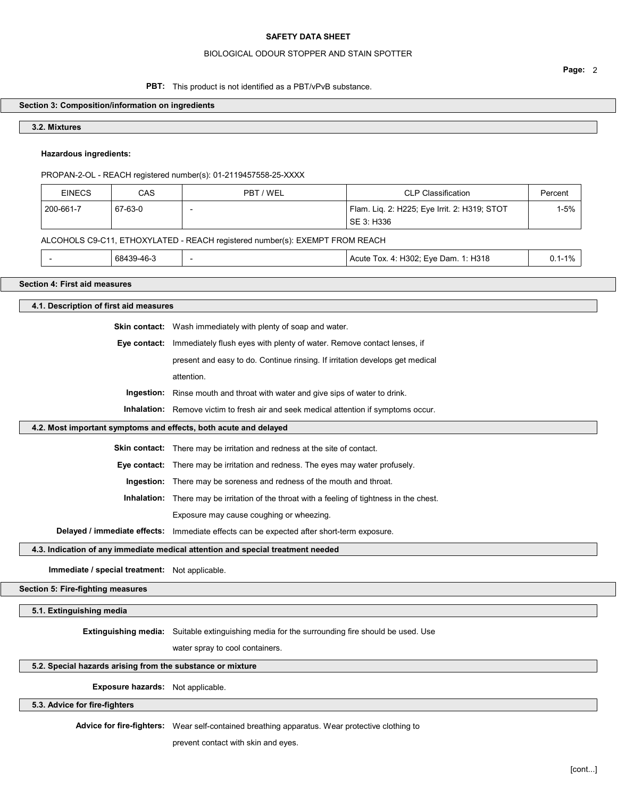#### BIOLOGICAL ODOUR STOPPER AND STAIN SPOTTER

### PBT: This product is not identified as a PBT/vPvB substance.

#### Section 3: Composition/information on ingredients

## 3.2. Mixtures

## Hazardous ingredients:

PROPAN-2-OL - REACH registered number(s): 01-2119457558-25-XXXX

| <b>EINECS</b> | CAS     | PBT / WEL | <b>CLP Classification</b>                                  | Percent |
|---------------|---------|-----------|------------------------------------------------------------|---------|
| 200-661-7     | 67-63-0 |           | Flam. Lig. 2: H225; Eye Irrit. 2: H319; STOT<br>SE 3: H336 | 1-5%    |

### ALCOHOLS C9-C11, ETHOXYLATED - REACH registered number(s): EXEMPT FROM REACH

| $\therefore$ H318<br>68439-46-3<br>H302: Eve Dam.<br>10,<br>Acute<br>Tox.<br>. .<br>$\overline{\phantom{a}}$<br>u. i<br>$\cdots$ |
|----------------------------------------------------------------------------------------------------------------------------------|
|----------------------------------------------------------------------------------------------------------------------------------|

#### Section 4: First aid measures

## 4.1. Description of first aid measures

Skin contact: Wash immediately with plenty of soap and water.

Eye contact: Immediately flush eyes with plenty of water. Remove contact lenses, if

present and easy to do. Continue rinsing. If irritation develops get medical

attention.

Ingestion: Rinse mouth and throat with water and give sips of water to drink.

Inhalation: Remove victim to fresh air and seek medical attention if symptoms occur.

#### 4.2. Most important symptoms and effects, both acute and delayed

Skin contact: There may be irritation and redness at the site of contact.

Eye contact: There may be irritation and redness. The eyes may water profusely.

Ingestion: There may be soreness and redness of the mouth and throat.

Inhalation: There may be irritation of the throat with a feeling of tightness in the chest.

Exposure may cause coughing or wheezing.

Delayed / immediate effects: Immediate effects can be expected after short-term exposure.

### 4.3. Indication of any immediate medical attention and special treatment needed

Immediate / special treatment: Not applicable.

## Section 5: Fire-fighting measures

5.1. Extinguishing media

Extinguishing media: Suitable extinguishing media for the surrounding fire should be used. Use

water spray to cool containers.

# 5.2. Special hazards arising from the substance or mixture

#### Exposure hazards: Not applicable.

#### 5.3. Advice for fire-fighters

Advice for fire-fighters: Wear self-contained breathing apparatus. Wear protective clothing to

prevent contact with skin and eyes.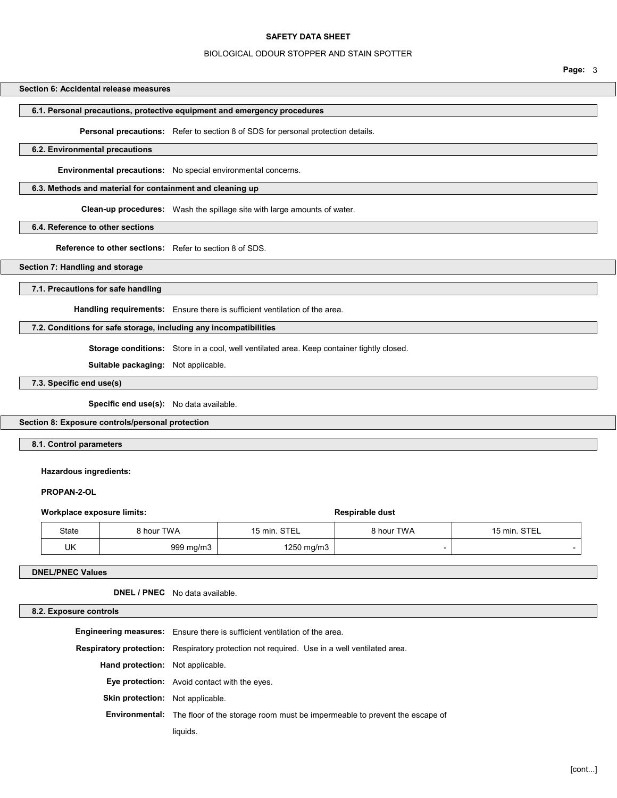### BIOLOGICAL ODOUR STOPPER AND STAIN SPOTTER

#### Page: 3

## Section 6: Accidental release measures

### 6.1. Personal precautions, protective equipment and emergency procedures

Personal precautions: Refer to section 8 of SDS for personal protection details.

### 6.2. Environmental precautions

Environmental precautions: No special environmental concerns.

### 6.3. Methods and material for containment and cleaning up

Clean-up procedures: Wash the spillage site with large amounts of water.

#### 6.4. Reference to other sections

Reference to other sections: Refer to section 8 of SDS.

### Section 7: Handling and storage

### 7.1. Precautions for safe handling

Handling requirements: Ensure there is sufficient ventilation of the area.

## 7.2. Conditions for safe storage, including any incompatibilities

Storage conditions: Store in a cool, well ventilated area. Keep container tightly closed.

Suitable packaging: Not applicable.

### 7.3. Specific end use(s)

Specific end use(s): No data available.

#### Section 8: Exposure controls/personal protection

8.1. Control parameters

### Hazardous ingredients:

#### PROPAN-2-OL

| Workplace exposure limits: |            | Respirable dust |            |              |
|----------------------------|------------|-----------------|------------|--------------|
| State                      | 8 hour TWA | 15 min. STEL    | 8 hour TWA | 15 min. STEL |
| UK                         | 999 mg/m3  | $1250$ mg/m $3$ |            |              |

### DNEL/PNEC Values

DNEL / PNEC No data available.

#### 8.2. Exposure controls

|                                         | <b>Engineering measures:</b> Ensure there is sufficient ventilation of the area.                   |  |
|-----------------------------------------|----------------------------------------------------------------------------------------------------|--|
|                                         | <b>Respiratory protection:</b> Respiratory protection not required. Use in a well ventilated area. |  |
| <b>Hand protection:</b> Not applicable. |                                                                                                    |  |
|                                         | <b>Eye protection:</b> Avoid contact with the eyes.                                                |  |
| <b>Skin protection:</b> Not applicable. |                                                                                                    |  |
|                                         | <b>Environmental:</b> The floor of the storage room must be impermeable to prevent the escape of   |  |
|                                         | liauids.                                                                                           |  |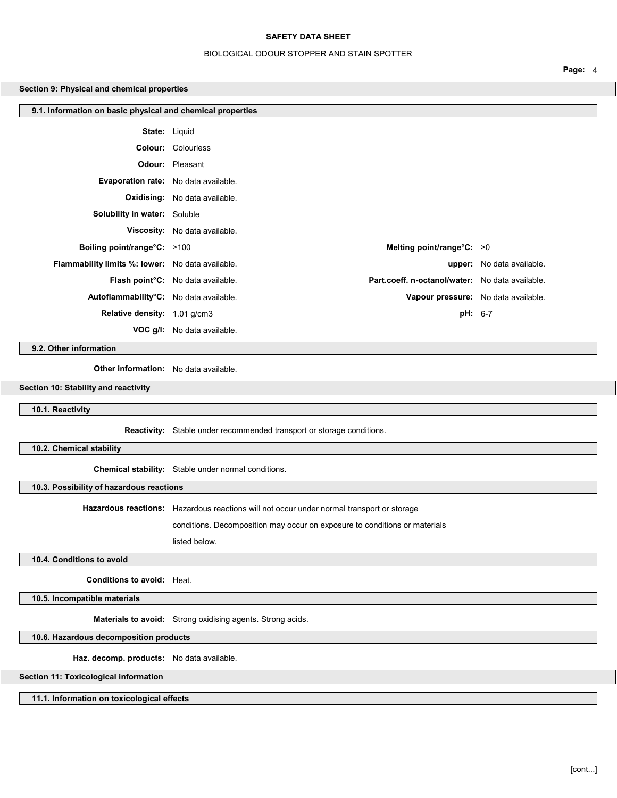### BIOLOGICAL ODOUR STOPPER AND STAIN SPOTTER

Page: 4

### Section 9: Physical and chemical properties

| 9.1. Information on basic physical and chemical properties |                                                                                      |                                     |  |  |
|------------------------------------------------------------|--------------------------------------------------------------------------------------|-------------------------------------|--|--|
|                                                            | <b>State:</b> Liquid                                                                 |                                     |  |  |
|                                                            | <b>Colour:</b> Colourless                                                            |                                     |  |  |
|                                                            | <b>Odour:</b> Pleasant                                                               |                                     |  |  |
| <b>Evaporation rate:</b> No data available.                |                                                                                      |                                     |  |  |
|                                                            | <b>Oxidising:</b> No data available.                                                 |                                     |  |  |
| <b>Solubility in water:</b> Soluble                        |                                                                                      |                                     |  |  |
|                                                            | Viscosity: No data available.                                                        |                                     |  |  |
| <b>Boiling point/range°C:</b> >100                         | Melting point/range $°C: >0$                                                         |                                     |  |  |
| Flammability limits %: lower: No data available.           |                                                                                      | upper: No data available.           |  |  |
|                                                            | Part.coeff. n-octanol/water: No data available.<br>Flash point°C: No data available. |                                     |  |  |
| Autoflammability°C: No data available.                     |                                                                                      | Vapour pressure: No data available. |  |  |
| Relative density: 1.01 g/cm3                               |                                                                                      | pH: 6-7                             |  |  |
|                                                            | <b>VOC g/l:</b> No data available.                                                   |                                     |  |  |

9.2. Other information

Other information: No data available.

Section 10: Stability and reactivity

10.1. Reactivity

Reactivity: Stable under recommended transport or storage conditions.

10.2. Chemical stability

Chemical stability: Stable under normal conditions.

10.3. Possibility of hazardous reactions

Hazardous reactions: Hazardous reactions will not occur under normal transport or storage

conditions. Decomposition may occur on exposure to conditions or materials

listed below.

10.4. Conditions to avoid

Conditions to avoid: Heat.

10.5. Incompatible materials

Materials to avoid: Strong oxidising agents. Strong acids.

10.6. Hazardous decomposition products

Haz. decomp. products: No data available.

Section 11: Toxicological information

11.1. Information on toxicological effects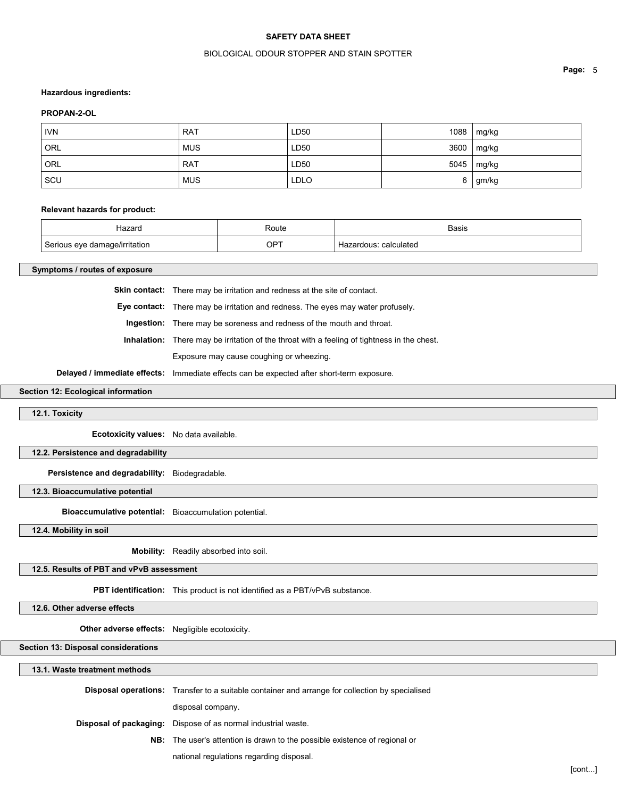### BIOLOGICAL ODOUR STOPPER AND STAIN SPOTTER

#### Hazardous ingredients:

### PROPAN-2-OL

| <b>IVN</b> | <b>RAT</b> | LD50        | 1088 | mg/kg      |
|------------|------------|-------------|------|------------|
| ORL        | <b>MUS</b> | LD50        |      | 3600 mg/kg |
| ORL        | <b>RAT</b> | LD50        |      | 5045 mg/kg |
| SCU        | <b>MUS</b> | <b>LDLO</b> | 6    | gm/kg      |

#### Relevant hazards for product:

| Hazard                                                         | Route | <b>Basis</b>      |
|----------------------------------------------------------------|-------|-------------------|
| $\overline{\phantom{0}}$<br>າaαe/irritation<br>$\cdot$ $\cdot$ | OPT   | calculated<br>. . |

Symptoms / routes of exposure

Skin contact: There may be irritation and redness at the site of contact.

Eye contact: There may be irritation and redness. The eyes may water profusely.

Ingestion: There may be soreness and redness of the mouth and throat.

Inhalation: There may be irritation of the throat with a feeling of tightness in the chest.

Exposure may cause coughing or wheezing.

Delayed / immediate effects: Immediate effects can be expected after short-term exposure.

## Section 12: Ecological information

12.1. Toxicity

Ecotoxicity values: No data available.

12.2. Persistence and degradability

Persistence and degradability: Biodegradable.

12.3. Bioaccumulative potential

Bioaccumulative potential: Bioaccumulation potential.

12.4. Mobility in soil

Mobility: Readily absorbed into soil.

12.5. Results of PBT and vPvB assessment

PBT identification: This product is not identified as a PBT/vPvB substance.

#### 12.6. Other adverse effects

Other adverse effects: Negligible ecotoxicity.

Section 13: Disposal considerations

### 13.1. Waste treatment methods

| <b>Disposal operations:</b> Transfer to a suitable container and arrange for collection by specialised |  |
|--------------------------------------------------------------------------------------------------------|--|
| disposal company.                                                                                      |  |
| <b>Disposal of packaging:</b> Dispose of as normal industrial waste.                                   |  |
| <b>NB:</b> The user's attention is drawn to the possible existence of regional or                      |  |
| national regulations regarding disposal.                                                               |  |

Page: 5